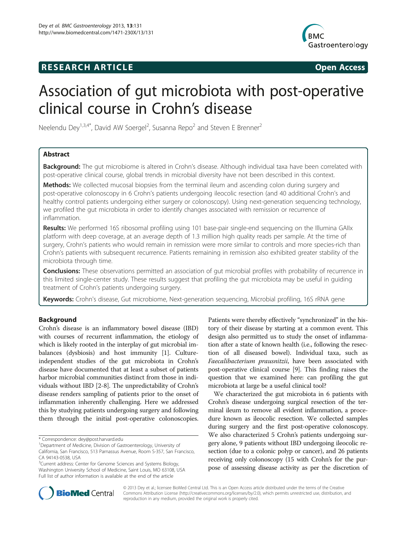## **RESEARCH ARTICLE Example 2014 CONSIDERING CONSIDERING CONSIDERING CONSIDERING CONSIDERING CONSIDERING CONSIDERING CONSIDERING CONSIDERING CONSIDERING CONSIDERING CONSIDERING CONSIDERING CONSIDERING CONSIDERING CONSIDE**



# Association of gut microbiota with post-operative clinical course in Crohn's disease

Neelendu Dey<sup>1,3,4\*</sup>, David AW Soergel<sup>2</sup>, Susanna Repo<sup>2</sup> and Steven E Brenner<sup>2</sup>

## Abstract

Background: The gut microbiome is altered in Crohn's disease. Although individual taxa have been correlated with post-operative clinical course, global trends in microbial diversity have not been described in this context.

Methods: We collected mucosal biopsies from the terminal ileum and ascending colon during surgery and post-operative colonoscopy in 6 Crohn's patients undergoing ileocolic resection (and 40 additional Crohn's and healthy control patients undergoing either surgery or colonoscopy). Using next-generation sequencing technology, we profiled the gut microbiota in order to identify changes associated with remission or recurrence of inflammation.

Results: We performed 16S ribosomal profiling using 101 base-pair single-end sequencing on the Illumina GAIIx platform with deep coverage, at an average depth of 1.3 million high quality reads per sample. At the time of surgery, Crohn's patients who would remain in remission were more similar to controls and more species-rich than Crohn's patients with subsequent recurrence. Patients remaining in remission also exhibited greater stability of the microbiota through time.

**Conclusions:** These observations permitted an association of qut microbial profiles with probability of recurrence in this limited single-center study. These results suggest that profiling the gut microbiota may be useful in guiding treatment of Crohn's patients undergoing surgery.

Keywords: Crohn's disease, Gut microbiome, Next-generation sequencing, Microbial profiling, 16S rRNA gene

## Background

Crohn's disease is an inflammatory bowel disease (IBD) with courses of recurrent inflammation, the etiology of which is likely rooted in the interplay of gut microbial imbalances (dysbiosis) and host immunity [[1\]](#page-9-0). Cultureindependent studies of the gut microbiota in Crohn's disease have documented that at least a subset of patients harbor microbial communities distinct from those in individuals without IBD [\[2](#page-9-0)-[8](#page-9-0)]. The unpredictability of Crohn's disease renders sampling of patients prior to the onset of inflammation inherently challenging. Here we addressed this by studying patients undergoing surgery and following them through the initial post-operative colonoscopies.

CA 94143-0538, USA

<sup>3</sup>Current address: Center for Genome Sciences and Systems Biology, Washington University School of Medicine, Saint Louis, MO 63108, USA Full list of author information is available at the end of the article

Patients were thereby effectively "synchronized" in the history of their disease by starting at a common event. This design also permitted us to study the onset of inflammation after a state of known health (i.e., following the resection of all diseased bowel). Individual taxa, such as Faecalibacterium prausnitzii, have been associated with post-operative clinical course [\[9](#page-9-0)]. This finding raises the question that we examined here: can profiling the gut microbiota at large be a useful clinical tool?

We characterized the gut microbiota in 6 patients with Crohn's disease undergoing surgical resection of the terminal ileum to remove all evident inflammation, a procedure known as ileocolic resection. We collected samples during surgery and the first post-operative colonoscopy. We also characterized 5 Crohn's patients undergoing surgery alone, 9 patients without IBD undergoing ileocolic resection (due to a colonic polyp or cancer), and 26 patients receiving only colonoscopy (15 with Crohn's for the purpose of assessing disease activity as per the discretion of



© 2013 Dey et al.; licensee BioMed Central Ltd. This is an Open Access article distributed under the terms of the Creative Commons Attribution License [\(http://creativecommons.org/licenses/by/2.0\)](http://creativecommons.org/licenses/by/2.0), which permits unrestricted use, distribution, and reproduction in any medium, provided the original work is properly cited.

<sup>\*</sup> Correspondence: [dey@post.harvard.edu](mailto:dey@post.harvard.edu)

<sup>&</sup>lt;sup>1</sup>Department of Medicine, Division of Gastroenterology, University of California, San Francisco, 513 Parnassus Avenue, Room S-357, San Francisco,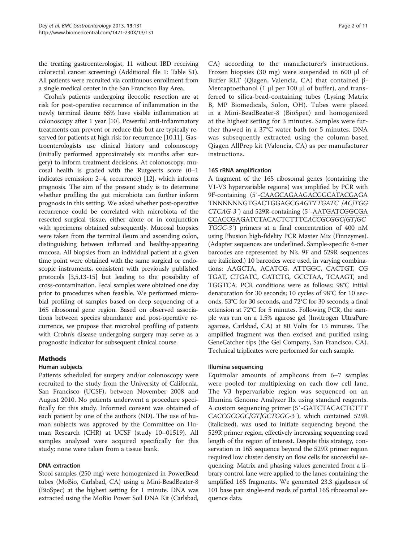<span id="page-1-0"></span>the treating gastroenterologist, 11 without IBD receiving colorectal cancer screening) (Additional file [1:](#page-8-0) Table S1). All patients were recruited via continuous enrollment from a single medical center in the San Francisco Bay Area.

Crohn's patients undergoing ileocolic resection are at risk for post-operative recurrence of inflammation in the newly terminal ileum: 65% have visible inflammation at colonoscopy after 1 year [\[10](#page-9-0)]. Powerful anti-inflammatory treatments can prevent or reduce this but are typically reserved for patients at high risk for recurrence [[10,11\]](#page-9-0). Gastroenterologists use clinical history and colonoscopy (initially performed approximately six months after surgery) to inform treatment decisions. At colonoscopy, mucosal health is graded with the Rutgeerts score  $(0-1)$ indicates remission; 2–4, recurrence) [[12](#page-9-0)], which informs prognosis. The aim of the present study is to determine whether profiling the gut microbiota can further inform prognosis in this setting. We asked whether post-operative recurrence could be correlated with microbiota of the resected surgical tissue, either alone or in conjunction with specimens obtained subsequently. Mucosal biopsies were taken from the terminal ileum and ascending colon, distinguishing between inflamed and healthy-appearing mucosa. All biopsies from an individual patient at a given time point were obtained with the same surgical or endoscopic instruments, consistent with previously published protocols [\[3,5,13-15\]](#page-9-0) but leading to the possibility of cross-contamination. Fecal samples were obtained one day prior to procedures when feasible. We performed microbial profiling of samples based on deep sequencing of a 16S ribosomal gene region. Based on observed associations between species abundance and post-operative recurrence, we propose that microbial profiling of patients with Crohn's disease undergoing surgery may serve as a prognostic indicator for subsequent clinical course.

## Methods

## Human subjects

Patients scheduled for surgery and/or colonoscopy were recruited to the study from the University of California, San Francisco (UCSF), between November 2008 and August 2010. No patients underwent a procedure specifically for this study. Informed consent was obtained of each patient by one of the authors (ND). The use of human subjects was approved by the Committee on Human Research (CHR) at UCSF (study 10–01519). All samples analyzed were acquired specifically for this study; none were taken from a tissue bank.

## DNA extraction

Stool samples (250 mg) were homogenized in PowerBead tubes (MoBio, Carlsbad, CA) using a Mini-BeadBeater-8 (BioSpec) at the highest setting for 1 minute. DNA was extracted using the MoBio Power Soil DNA Kit (Carlsbad,

CA) according to the manufacturer's instructions. Frozen biopsies (30 mg) were suspended in 600 μl of Buffer RLT (Qiagen, Valencia, CA) that contained β-Mercaptoethanol (1 μl per 100 μl of buffer), and transferred to silica-bead-containing tubes (Lysing Matrix B, MP Biomedicals, Solon, OH). Tubes were placed in a Mini-BeadBeater-8 (BioSpec) and homogenized at the highest setting for 3 minutes. Samples were further thawed in a 37°C water bath for 5 minutes. DNA was subsequently extracted using the column-based Qiagen AllPrep kit (Valencia, CA) as per manufacturer instructions.

## 16S rRNA amplification

A fragment of the 16S ribosomal genes (containing the V1-V3 hypervariable regions) was amplified by PCR with 9F-containing (5′-CAAGCAGAAGACGGCATACGAGA TNNNNNNGTGACTGGAGCGAGTTTGATC [AC]TGG CTCAG-3′) and 529R-containing (5′-AATGATCGGCGA CCACCGAGATCTACACTCTTTCACCGCGGC[GT]GC TGGC-3′) primers at a final concentration of 400 nM using Phusion high-fidelity PCR Master Mix (Finnzymes). (Adapter sequences are underlined. Sample-specific 6-mer barcodes are represented by N's. 9F and 529R sequences are italicized.) 10 barcodes were used, in varying combinations: AAGCTA, ACATCG, ATTGGC, CACTGT, CG TGAT, CTGATC, GATCTG, GCCTAA, TCAAGT, and TGGTCA. PCR conditions were as follows: 98°C initial denaturation for 30 seconds; 10 cycles of 98°C for 10 seconds, 53°C for 30 seconds, and 72°C for 30 seconds; a final extension at 72°C for 5 minutes. Following PCR, the sample was run on a 1.5% agarose gel (Invitrogen UltraPure agarose, Carlsbad, CA) at 80 Volts for 15 minutes. The amplified fragment was then excised and purified using GeneCatcher tips (the Gel Company, San Francisco, CA). Technical triplicates were performed for each sample.

## Illumina sequencing

Equimolar amounts of amplicons from 6–7 samples were pooled for multiplexing on each flow cell lane. The V3 hypervariable region was sequenced on an Illumina Genome Analyzer IIx using standard reagents. A custom sequencing primer (5′-GATCTACACTCTTT CACCGCGGC[GT]GCTGGC-3′), which contained 529R (italicized), was used to initiate sequencing beyond the 529R primer region, effectively increasing sequencing read length of the region of interest. Despite this strategy, conservation in 16S sequence beyond the 529R primer region required low cluster density on flow cells for successful sequencing. Matrix and phasing values generated from a library control lane were applied to the lanes containing the amplified 16S fragments. We generated 23.3 gigabases of 101 base pair single-end reads of partial 16S ribosomal sequence data.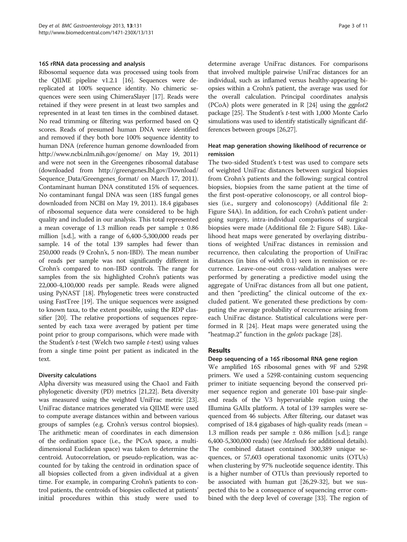#### 16S rRNA data processing and analysis

Ribosomal sequence data was processed using tools from the QIIME pipeline v1.2.1 [\[16\]](#page-9-0). Sequences were dereplicated at 100% sequence identity. No chimeric sequences were seen using ChimeraSlayer [\[17\]](#page-9-0). Reads were retained if they were present in at least two samples and represented in at least ten times in the combined dataset. No read trimming or filtering was performed based on Q scores. Reads of presumed human DNA were identified and removed if they both bore 100% sequence identity to human DNA (reference human genome downloaded from <http://www.ncbi.nlm.nih.gov/genome/> on May 19, 2011) and were not seen in the Greengenes ribosomal database (downloaded from [http://greengenes.lbl.gov/Download/](http://greengenes.lbl.gov/Download/Sequence_Data/Greengenes_format/) Sequence Data/Greengenes format/ on March 17, 2011). Contaminant human DNA constituted 15% of sequences. No contaminant fungal DNA was seen (18S fungal genes downloaded from NCBI on May 19, 2011). 18.4 gigabases of ribosomal sequence data were considered to be high quality and included in our analysis. This total represented a mean coverage of 1.3 million reads per sample ± 0.86 million [s.d.], with a range of 6,400-5,300,000 reads per sample. 14 of the total 139 samples had fewer than 250,000 reads (9 Crohn's, 5 non-IBD). The mean number of reads per sample was not significantly different in Crohn's compared to non-IBD controls. The range for samples from the six highlighted Crohn's patients was 22,000-4,100,000 reads per sample. Reads were aligned using PyNAST [\[18\]](#page-9-0). Phylogenetic trees were constructed using FastTree [\[19](#page-9-0)]. The unique sequences were assigned to known taxa, to the extent possible, using the RDP classifier [[20](#page-9-0)]. The relative proportions of sequences represented by each taxa were averaged by patient per time point prior to group comparisons, which were made with the Student's t-test (Welch two sample t-test) using values from a single time point per patient as indicated in the text.

#### Diversity calculations

Alpha diversity was measured using the Chao1 and Faith phylogenetic diversity (PD) metrics [\[21,22](#page-9-0)]. Beta diversity was measured using the weighted UniFrac metric [[23](#page-9-0)]. UniFrac distance matrices generated via QIIME were used to compute average distances within and between various groups of samples (e.g. Crohn's versus control biopsies). The arithmetic mean of coordinates in each dimension of the ordination space (i.e., the PCoA space, a multidimensional Euclidean space) was taken to determine the centroid. Autocorrelation, or pseudo-replication, was accounted for by taking the centroid in ordination space of all biopsies collected from a given individual at a given time. For example, in comparing Crohn's patients to control patients, the centroids of biopsies collected at patients' initial procedures within this study were used to

determine average UniFrac distances. For comparisons that involved multiple pairwise UniFrac distances for an individual, such as inflamed versus healthy-appearing biopsies within a Crohn's patient, the average was used for the overall calculation. Principal coordinates analysis (PCoA) plots were generated in R  $[24]$  using the *ggplot2* package [[25](#page-9-0)]. The Student's t-test with 1,000 Monte Carlo simulations was used to identify statistically significant differences between groups [[26,27\]](#page-9-0).

#### Heat map generation showing likelihood of recurrence or remission

The two-sided Student's t-test was used to compare sets of weighted UniFrac distances between surgical biopsies from Crohn's patients and the following: surgical control biopsies, biopsies from the same patient at the time of the first post-operative colonoscopy, or all control biopsies (i.e., surgery and colonoscopy) (Additional file [2](#page-8-0): Figure S4A). In addition, for each Crohn's patient undergoing surgery, intra-individual comparisons of surgical biopsies were made (Additional file [2:](#page-8-0) Figure S4B). Likelihood heat maps were generated by overlaying distributions of weighted UniFrac distances in remission and recurrence, then calculating the proportion of UniFrac distances (in bins of width 0.1) seen in remission or recurrence. Leave-one-out cross-validation analyses were performed by generating a predictive model using the aggregate of UniFrac distances from all but one patient, and then "predicting" the clinical outcome of the excluded patient. We generated these predictions by computing the average probability of recurrence arising from each UniFrac distance. Statistical calculations were performed in R [[24\]](#page-9-0). Heat maps were generated using the "heatmap.2" function in the *gplots* package [[28](#page-9-0)].

#### Results

#### Deep sequencing of a 16S ribosomal RNA gene region

We amplified 16S ribosomal genes with 9F and 529R primers. We used a 529R-containing custom sequencing primer to initiate sequencing beyond the conserved primer sequence region and generate 101 base-pair singleend reads of the V3 hypervariable region using the Illumina GAIIx platform. A total of 139 samples were sequenced from 46 subjects. After filtering, our dataset was comprised of 18.4 gigabases of high-quality reads (mean = 1.3 million reads per sample  $\pm$  0.86 million [s.d.]; range 6,400-5,300,000 reads) (see [Methods](#page-1-0) for additional details). The combined dataset contained 300,389 unique sequences, or 57,603 operational taxonomic units (OTUs) when clustering by 97% nucleotide sequence identity. This is a higher number of OTUs than previously reported to be associated with human gut [[26,29-32\]](#page-9-0), but we suspected this to be a consequence of sequencing error combined with the deep level of coverage [\[33\]](#page-9-0). The region of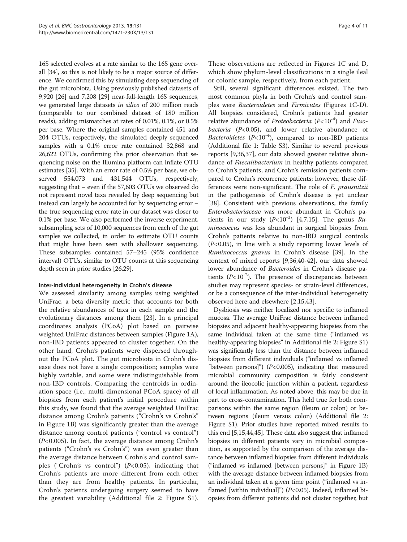16S selected evolves at a rate similar to the 16S gene overall [\[34\]](#page-9-0), so this is not likely to be a major source of difference. We confirmed this by simulating deep sequencing of the gut microbiota. Using previously published datasets of 9,920 [[26](#page-9-0)] and 7,208 [[29](#page-9-0)] near-full-length 16S sequences, we generated large datasets in silico of 200 million reads (comparable to our combined dataset of 180 million reads), adding mismatches at rates of 0.01%, 0.1%, or 0.5% per base. Where the original samples contained 451 and 204 OTUs, respectively, the simulated deeply sequenced samples with a 0.1% error rate contained 32,868 and 26,622 OTUs, confirming the prior observation that sequencing noise on the Illumina platform can inflate OTU estimates [\[35](#page-9-0)]. With an error rate of 0.5% per base, we observed 554,073 and 431,544 OTUs, respectively, suggesting that – even if the 57,603 OTUs we observed do not represent novel taxa revealed by deep sequencing but instead can largely be accounted for by sequencing error – the true sequencing error rate in our dataset was closer to 0.1% per base. We also performed the inverse experiment, subsampling sets of 10,000 sequences from each of the gut samples we collected, in order to estimate OTU counts that might have been seen with shallower sequencing. These subsamples contained 57–245 (95% confidence interval) OTUs, similar to OTU counts at this sequencing depth seen in prior studies [\[26,29\]](#page-9-0).

## Inter-individual heterogeneity in Crohn's disease

We assessed similarity among samples using weighted UniFrac, a beta diversity metric that accounts for both the relative abundances of taxa in each sample and the evolutionary distances among them [[23](#page-9-0)]. In a principal coordinates analysis (PCoA) plot based on pairwise weighted UniFrac distances between samples (Figure [1](#page-4-0)A), non-IBD patients appeared to cluster together. On the other hand, Crohn's patients were dispersed throughout the PCoA plot. The gut microbiota in Crohn's disease does not have a single composition; samples were highly variable, and some were indistinguishable from non-IBD controls. Comparing the centroids in ordination space (i.e., multi-dimensional PCoA space) of all biopsies from each patient's initial procedure within this study, we found that the average weighted UniFrac distance among Crohn's patients ("Crohn's vs Crohn's" in Figure [1](#page-4-0)B) was significantly greater than the average distance among control patients ("control vs control") (P<0.005). In fact, the average distance among Crohn's patients ("Crohn's vs Crohn's") was even greater than the average distance between Crohn's and control samples ("Crohn's vs control")  $(P<0.05)$ , indicating that Crohn's patients are more different from each other than they are from healthy patients. In particular, Crohn's patients undergoing surgery seemed to have the greatest variability (Additional file [2:](#page-8-0) Figure S1).

These observations are reflected in Figures [1](#page-4-0)C and D, which show phylum-level classifications in a single ileal or colonic sample, respectively, from each patient.

Still, several significant differences existed. The two most common phyla in both Crohn's and control samples were Bacteroidetes and Firmicutes (Figures [1C](#page-4-0)-D). All biopsies considered, Crohn's patients had greater relative abundance of *Proteobacteria* ( $P<10^{-4}$ ) and *Fuso*bacteria  $(P<0.05)$ , and lower relative abundance of Bacteroidetes ( $P<10^{-4}$ ), compared to non-IBD patients (Additional file [1](#page-8-0): Table S3). Similar to several previous reports [\[9,36,37](#page-9-0)], our data showed greater relative abundance of Faecalibacterium in healthy patients compared to Crohn's patients, and Crohn's remission patients compared to Crohn's recurrence patients; however, these differences were non-significant. The role of F. prausnitzii in the pathogenesis of Crohn's disease is yet unclear [[38\]](#page-9-0). Consistent with previous observations, the family Enterobacteriaceae was more abundant in Crohn's patients in our study  $(P<10^{-3})$  [\[4](#page-9-0),[7](#page-9-0),[15](#page-9-0)]. The genus  $Ru$ minococcus was less abundant in surgical biopsies from Crohn's patients relative to non-IBD surgical controls  $(P<0.05)$ , in line with a study reporting lower levels of Ruminococcus gnavus in Crohn's disease [\[39](#page-10-0)]. In the context of mixed reports [[9,36,](#page-9-0)[40-42\]](#page-10-0), our data showed lower abundance of Bacteroides in Crohn's disease patients  $(P<10^{-2})$ . The presence of discrepancies between studies may represent species- or strain-level differences, or be a consequence of the inter-individual heterogeneity observed here and elsewhere [[2,15,](#page-9-0)[43\]](#page-10-0).

Dysbiosis was neither localized nor specific to inflamed mucosa. The average UniFrac distance between inflamed biopsies and adjacent healthy-appearing biopsies from the same individual taken at the same time ("inflamed vs healthy-appearing biopsies" in Additional file [2:](#page-8-0) Figure S1) was significantly less than the distance between inflamed biopsies from different individuals ("inflamed vs inflamed [between persons]")  $(P<0.005)$ , indicating that measured microbial community composition is fairly consistent around the ileocolic junction within a patient, regardless of local inflammation. As noted above, this may be due in part to cross-contamination. This held true for both comparisons within the same region (ileum or colon) or between regions (ileum versus colon) (Additional file [2](#page-8-0): Figure S1). Prior studies have reported mixed results to this end [\[5,15,](#page-9-0)[44,45](#page-10-0)]. These data also suggest that inflamed biopsies in different patients vary in microbial composition, as supported by the comparison of the average distance between inflamed biopsies from different individuals ("inflamed vs inflamed [between persons]" in Figure [1B](#page-4-0)) with the average distance between inflamed biopsies from an individual taken at a given time point ("inflamed vs inflamed [within individual]")  $(P<0.05)$ . Indeed, inflamed biopsies from different patients did not cluster together, but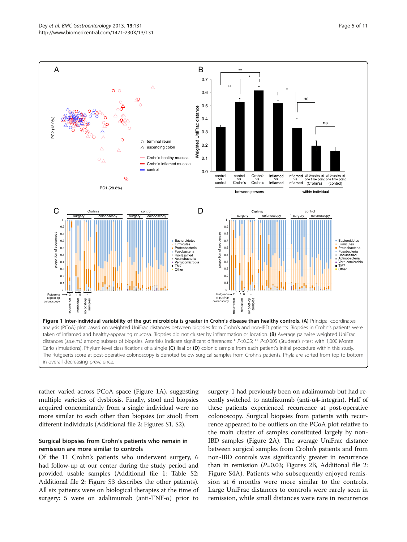<span id="page-4-0"></span>

rather varied across PCoA space (Figure 1A), suggesting multiple varieties of dysbiosis. Finally, stool and biopsies acquired concomitantly from a single individual were no more similar to each other than biopsies (or stool) from different individuals (Additional file [2:](#page-8-0) Figures S1, S2).

## Surgical biopsies from Crohn's patients who remain in remission are more similar to controls

Of the 11 Crohn's patients who underwent surgery, 6 had follow-up at our center during the study period and provided usable samples (Additional file [1](#page-8-0): Table S2; Additional file [2](#page-8-0): Figure S3 describes the other patients). All six patients were on biological therapies at the time of surgery: 5 were on adalimumab (anti-TNF-α) prior to

surgery; 1 had previously been on adalimumab but had recently switched to natalizumab (anti-α4-integrin). Half of these patients experienced recurrence at post-operative colonoscopy. Surgical biopsies from patients with recurrence appeared to be outliers on the PCoA plot relative to the main cluster of samples constituted largely by non-IBD samples (Figure [2A](#page-5-0)). The average UniFrac distance between surgical samples from Crohn's patients and from non-IBD controls was significantly greater in recurrence than in remission  $(P=0.03;$  Figures [2B](#page-5-0), Additional file [2](#page-8-0): Figure S4A). Patients who subsequently enjoyed remission at 6 months were more similar to the controls. Large UniFrac distances to controls were rarely seen in remission, while small distances were rare in recurrence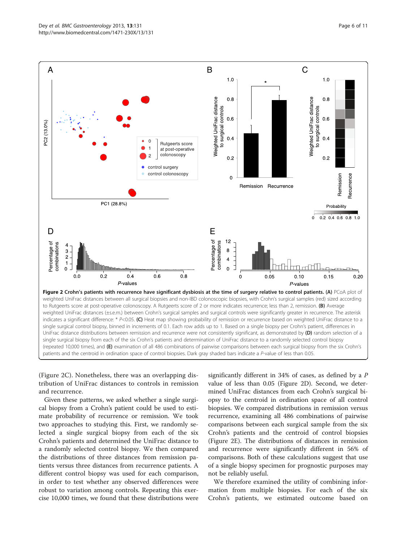<span id="page-5-0"></span>

(Figure 2C). Nonetheless, there was an overlapping distribution of UniFrac distances to controls in remission and recurrence.

Given these patterns, we asked whether a single surgical biopsy from a Crohn's patient could be used to estimate probability of recurrence or remission. We took two approaches to studying this. First, we randomly selected a single surgical biopsy from each of the six Crohn's patients and determined the UniFrac distance to a randomly selected control biopsy. We then compared the distributions of three distances from remission patients versus three distances from recurrence patients. A different control biopsy was used for each comparison, in order to test whether any observed differences were robust to variation among controls. Repeating this exercise 10,000 times, we found that these distributions were significantly different in 34% of cases, as defined by a P value of less than 0.05 (Figure 2D). Second, we determined UniFrac distances from each Crohn's surgical biopsy to the centroid in ordination space of all control biopsies. We compared distributions in remission versus recurrence, examining all 486 combinations of pairwise comparisons between each surgical sample from the six Crohn's patients and the centroid of control biopsies (Figure 2E). The distributions of distances in remission and recurrence were significantly different in 56% of comparisons. Both of these calculations suggest that use of a single biopsy specimen for prognostic purposes may not be reliably useful.

We therefore examined the utility of combining information from multiple biopsies. For each of the six Crohn's patients, we estimated outcome based on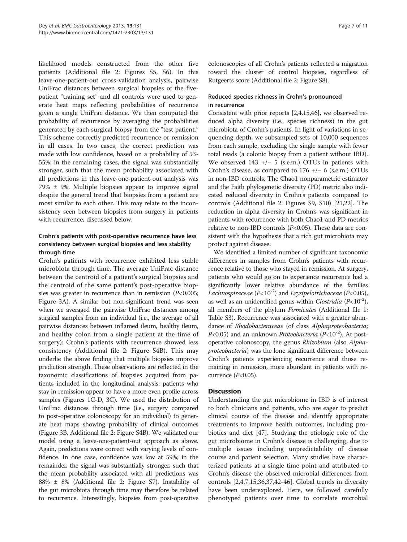likelihood models constructed from the other five patients (Additional file [2](#page-8-0): Figures S5, S6). In this leave-one-patient-out cross-validation analysis, pairwise UniFrac distances between surgical biopsies of the fivepatient "training set" and all controls were used to generate heat maps reflecting probabilities of recurrence given a single UniFrac distance. We then computed the probability of recurrence by averaging the probabilities generated by each surgical biopsy from the "test patient." This scheme correctly predicted recurrence or remission in all cases. In two cases, the correct prediction was made with low confidence, based on a probability of 53- 55%; in the remaining cases, the signal was substantially stronger, such that the mean probability associated with all predictions in this leave-one-patient-out analysis was 79% ± 9%. Multiple biopsies appear to improve signal despite the general trend that biopsies from a patient are most similar to each other. This may relate to the inconsistency seen between biopsies from surgery in patients with recurrence, discussed below.

## Crohn's patients with post-operative recurrence have less consistency between surgical biopsies and less stability through time

Crohn's patients with recurrence exhibited less stable microbiota through time. The average UniFrac distance between the centroid of a patient's surgical biopsies and the centroid of the same patient's post-operative biopsies was greater in recurrence than in remission  $(P<0.005;$ Figure [3](#page-7-0)A). A similar but non-significant trend was seen when we averaged the pairwise UniFrac distances among surgical samples from an individual (i.e., the average of all pairwise distances between inflamed ileum, healthy ileum, and healthy colon from a single patient at the time of surgery): Crohn's patients with recurrence showed less consistency (Additional file [2:](#page-8-0) Figure S4B). This may underlie the above finding that multiple biopsies improve prediction strength. These observations are reflected in the taxonomic classifications of biopsies acquired from patients included in the longitudinal analysis: patients who stay in remission appear to have a more even profile across samples (Figures [1](#page-4-0)C-D, [3](#page-7-0)C). We used the distribution of UniFrac distances through time (i.e., surgery compared to post-operative colonoscopy for an individual) to generate heat maps showing probability of clinical outcomes (Figure [3](#page-7-0)B, Additional file [2](#page-8-0): Figure S4B). We validated our model using a leave-one-patient-out approach as above. Again, predictions were correct with varying levels of confidence. In one case, confidence was low at 59%; in the remainder, the signal was substantially stronger, such that the mean probability associated with all predictions was 88% ± 8% (Additional file [2:](#page-8-0) Figure S7). Instability of the gut microbiota through time may therefore be related to recurrence. Interestingly, biopsies from post-operative colonoscopies of all Crohn's patients reflected a migration toward the cluster of control biopsies, regardless of Rutgeerts score (Additional file [2:](#page-8-0) Figure S8).

## Reduced species richness in Crohn's pronounced in recurrence

Consistent with prior reports [[2,4](#page-9-0),[15](#page-9-0)[,46\]](#page-10-0), we observed reduced alpha diversity (i.e., species richness) in the gut microbiota of Crohn's patients. In light of variations in sequencing depth, we subsampled sets of 10,000 sequences from each sample, excluding the single sample with fewer total reads (a colonic biopsy from a patient without IBD). We observed 143 +/− 5 (s.e.m.) OTUs in patients with Crohn's disease, as compared to 176 +/− 6 (s.e.m.) OTUs in non-IBD controls. The Chao1 nonparametric estimator and the Faith phylogenetic diversity (PD) metric also indicated reduced diversity in Crohn's patients compared to controls (Additional file [2:](#page-8-0) Figures S9, S10) [\[21,22](#page-9-0)]. The reduction in alpha diversity in Crohn's was significant in patients with recurrence with both Chao1 and PD metrics relative to non-IBD controls  $(P<0.05)$ . These data are consistent with the hypothesis that a rich gut microbiota may protect against disease.

We identified a limited number of significant taxonomic differences in samples from Crohn's patients with recurrence relative to those who stayed in remission. At surgery, patients who would go on to experience recurrence had a significantly lower relative abundance of the families Lachnospiraceae  $(P<10^{-2})$  and Erysipelotrichaceae (P<0.05), as well as an unidentified genus within *Clostridia*  $(P<10^{-2})$ , all members of the phylum Firmicutes (Additional file [1](#page-8-0): Table S3). Recurrence was associated with a greater abundance of Rhodobacteraceae (of class Alphaproteobacteria;  $P<0.05$ ) and an unknown *Proteobacteria* ( $P<10^{-2}$ ). At postoperative colonoscopy, the genus Rhizobium (also Alphaproteobacteria) was the lone significant difference between Crohn's patients experiencing recurrence and those remaining in remission, more abundant in patients with recurrence  $(P<0.05)$ .

## **Discussion**

Understanding the gut microbiome in IBD is of interest to both clinicians and patients, who are eager to predict clinical course of the disease and identify appropriate treatments to improve health outcomes, including probiotics and diet [[47\]](#page-10-0). Studying the etiologic role of the gut microbiome in Crohn's disease is challenging, due to multiple issues including unpredictability of disease course and patient selection. Many studies have characterized patients at a single time point and attributed to Crohn's disease the observed microbial differences from controls [[2](#page-9-0),[4](#page-9-0),[7,15](#page-9-0),[36](#page-9-0),[37](#page-9-0),[42](#page-10-0)-[46\]](#page-10-0). Global trends in diversity have been underexplored. Here, we followed carefully phenotyped patients over time to correlate microbial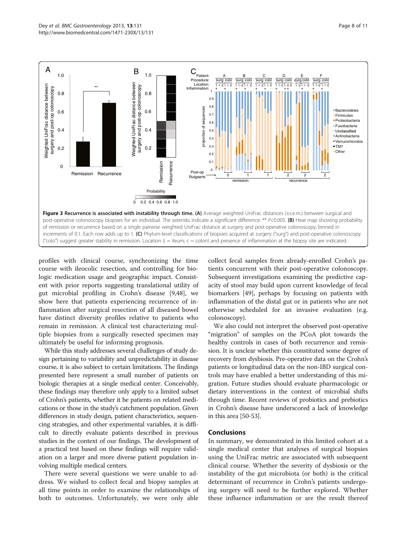<span id="page-7-0"></span>

profiles with clinical course, synchronizing the time course with ileocolic resection, and controlling for biologic medication usage and geographic impact. Consistent with prior reports suggesting translational utility of gut microbial profiling in Crohn's disease [[9,](#page-9-0)[48\]](#page-10-0), we show here that patients experiencing recurrence of inflammation after surgical resection of all diseased bowel have distinct diversity profiles relative to patients who remain in remission. A clinical test characterizing multiple biopsies from a surgically resected specimen may ultimately be useful for informing prognosis.

While this study addresses several challenges of study design pertaining to variability and unpredictability in disease course, it is also subject to certain limitations. The findings presented here represent a small number of patients on biologic therapies at a single medical center. Conceivably, these findings may therefore only apply to a limited subset of Crohn's patients, whether it be patients on related medications or those in the study's catchment population. Given differences in study design, patient characteristics, sequencing strategies, and other experimental variables, it is difficult to directly evaluate patients described in previous studies in the context of our findings. The development of a practical test based on these findings will require validation on a larger and more diverse patient population involving multiple medical centers.

There were several questions we were unable to address. We wished to collect fecal and biopsy samples at all time points in order to examine the relationships of both to outcomes. Unfortunately, we were only able collect fecal samples from already-enrolled Crohn's patients concurrent with their post-operative colonoscopy. Subsequent investigations examining the predictive capacity of stool may build upon current knowledge of fecal biomarkers [\[49](#page-10-0)], perhaps by focusing on patients with inflammation of the distal gut or in patients who are not otherwise scheduled for an invasive evaluation (e.g. colonoscopy).

We also could not interpret the observed post-operative "migration" of samples on the PCoA plot towards the healthy controls in cases of both recurrence and remission. It is unclear whether this constituted some degree of recovery from dysbiosis. Pre-operative data on the Crohn's patients or longitudinal data on the non-IBD surgical controls may have enabled a better understanding of this migration. Future studies should evaluate pharmacologic or dietary interventions in the context of microbial shifts through time. Recent reviews of probiotics and prebiotics in Crohn's disease have underscored a lack of knowledge in this area [\[50-53](#page-10-0)].

#### Conclusions

In summary, we demonstrated in this limited cohort at a single medical center that analyses of surgical biopsies using the UniFrac metric are associated with subsequent clinical course. Whether the severity of dysbiosis or the instability of the gut microbiota (or both) is the critical determinant of recurrence in Crohn's patients undergoing surgery will need to be further explored. Whether these influence inflammation or are the result thereof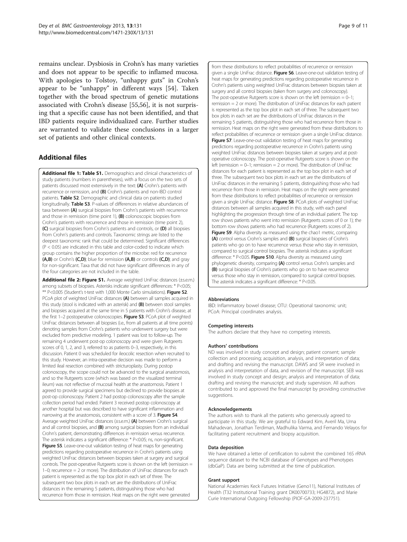<span id="page-8-0"></span>remains unclear. Dysbiosis in Crohn's has many varieties and does not appear to be specific to inflamed mucosa. With apologies to Tolstoy, "unhappy guts" in Crohn's appear to be "unhappy" in different ways [\[54](#page-10-0)]. Taken together with the broad spectrum of genetic mutations associated with Crohn's disease [\[55,56](#page-10-0)], it is not surprising that a specific cause has not been identified, and that IBD patients require individualized care. Further studies are warranted to validate these conclusions in a larger set of patients and other clinical contexts.

## Additional files

[Additional file 1: Table S1.](http://www.biomedcentral.com/content/supplementary/1471-230X-13-131-S1.pdf) Demographics and clinical characteristics of study patients (numbers in parentheses), with a focus on the two sets of patients discussed most extensively in the text: (A) Crohn's patients with recurrence or remission, and (B) Crohn's patients and non-IBD control patients. Table S2. Demographic and clinical data on patients studied longitudinally. Table S3. P-values of differences in relative abundances of taxa between (A) surgical biopsies from Crohn's patients with recurrence and those in remission (time point 1),  $(B)$  colonoscopic biopsies from Crohn's patients with recurrence and those in remission (time point 2), (C) surgical biopsies from Crohn's patients and controls, or (D) all biopsies from Crohn's patients and controls. Taxonomic strings are listed to the deepest taxonomic rank that could be determined. Significant differences (P < 0.05) are indicated in this table and color-coded to indicate which group contains the higher proportion of the microbe: red for recurrence (A,B) or Crohn's (C,D); blue for remission (A,B) or controls (C,D); and gray for non-significant. Taxa that did not have significant differences in any of the four categories are not included in the table.

[Additional file 2: Figure S1.](http://www.biomedcentral.com/content/supplementary/1471-230X-13-131-S2.pdf) Average weighted UniFrac distances (±s.e.m.) among subsets of biopsies. Asterisks indicate significant differences: \* P<0.05; \*\* P<0.005 (Student's t-test with 1,000 Monte Carlo simulations). Figure S2. PCoA plot of weighted UniFrac distances (A) between all samples acquired in this study (stool is indicated with an asterisk) and (B) between stool samples and biopsies acquired at the same time in 5 patients with Crohn's disease, at the first 1-2 postoperative colonoscopies. Figure S3. PCoA plot of weighted UniFrac distances between all biopsies (i.e., from all patients at all time points) denoting samples from Crohn's patients who underwent surgery but were excluded from predictive modeling. 1 patient was lost to follow-up. The remaining 4 underwent post-op colonoscopy and were given Rutgeerts scores of 0, 1, 2, and 3, referred to as patients 0–3, respectively, in this discussion. Patient 0 was scheduled for ileocolic resection when recruited to this study. However, an intra-operative decision was made to perform a limited ileal resection combined with stricturoplasty. During postop colonoscopy, the scope could not be advanced to the surgical anastomosis, and so the Rutgeerts score (which was based on the visualized terminal ileum) was not reflective of mucosal health at the anastomosis. Patient 1 agreed to provide surgical specimens but declined to provide biopsies at post-op colonoscopy. Patient 2 had postop colonoscopy after the sample collection period had ended. Patient 3 received postop colonoscopy at another hospital but was described to have significant inflammation and narrowing at the anastomosis, consistent with a score of 3. Figure S4. Average weighted UniFrac distances (±s.e.m.) (A) between Crohn's surgical and all control biopsies, and (B) among surgical biopsies from an individual Crohn's patient, demonstrating differences in remission versus recurrence. The asterisk indicates a significant difference: \* P<0.05; ns, non-significant. Figure S5. Leave-one-out validation testing of heat maps for generating predictions regarding postoperative recurrence in Crohn's patients using weighted UniFrac distances between biopsies taken at surgery and surgical controls. The post-operative Rutgeerts score is shown on the left (remission = 1–0; recurrence = 2 or more). The distribution of UniFrac distances for each patient is represented as the top box plot in each set of three. The subsequent two box plots in each set are the distributions of UniFrac distances in the remaining 5 patients, distinguishing those who had recurrence from those in remission. Heat maps on the right were generated

from these distributions to reflect probabilities of recurrence or remission given a single UniFrac distance. Figure S6. Leave-one-out validation testing of heat maps for generating predictions regarding postoperative recurrence in Crohn's patients using weighted UniFrac distances between biopsies taken at surgery and all control biopsies (taken from surgery and colonoscopy). The post-operative Rutgeerts score is shown on the left (remission  $= 0-1$ ; remission = 2 or more). The distribution of UniFrac distances for each patient is represented as the top box plot in each set of three. The subsequent two box plots in each set are the distributions of UniFrac distances in the remaining 5 patients, distinguishing those who had recurrence from those in remission. Heat maps on the right were generated from these distributions to reflect probabilities of recurrence or remission given a single UniFrac distance. Figure S7. Leave-one-out validation testing of heat maps for generating predictions regarding postoperative recurrence in Crohn's patients using weighted UniFrac distances between biopsies taken at surgery and at postoperative colonoscopy. The post-operative Rutgeerts score is shown on the left (remission  $= 0-1$ ; remission  $= 2$  or more). The distribution of UniFrac distances for each patient is represented as the top box plot in each set of three. The subsequent two box plots in each set are the distributions of UniFrac distances in the remaining 5 patients, distinguishing those who had recurrence from those in remission. Heat maps on the right were generated from these distributions to reflect probabilities of recurrence or remission given a single UniFrac distance. Figure S8. PCoA plots of weighted UniFrac distances between all samples acquired in this study, with each panel highlighting the progression through time of an individual patient. The top row shows patients who went into remission (Rutgeerts scores of 0 or 1); the bottom row shows patients who had recurrence (Rutgeerts scores of 2). Figure S9. Alpha diversity as measured using the chao1 metric, comparing (A) control versus Crohn's samples and (B) surgical biopsies of Crohn's patients who go on to have recurrence versus those who stay in remission, compared to surgical control biopsies. The asterisk indicates a significant difference: \* P<0.05. Figure S10. Alpha diversity as measured using phylogenetic diversity, comparing (A) control versus Crohn's samples and (B) surgical biopsies of Crohn's patients who go on to have recurrence versus those who stay in remission, compared to surgical control biopsies. The asterisk indicates a significant difference: \* P<0.05.

#### Abbreviations

IBD: Inflammatory bowel disease; OTU: Operational taxonomic unit; PCoA: Principal coordinates analysis.

#### Competing interests

The authors declare that they have no competing interests.

#### Authors' contributions

ND was involved in study concept and design; patient consent; sample collection and processing; acquisition, analysis, and interpretation of data; and drafting and revising the manuscript. DAWS and SR were involved in analysis and interpretation of data, and revision of the manuscript. SEB was involved in study concept and design; analysis and interpretation of data; drafting and revising the manuscript; and study supervision. All authors contributed to and approved the final manuscript by providing constructive suggestions.

#### Acknowledgements

The authors wish to thank all the patients who generously agreed to participate in this study. We are grateful to Edward Kim, Averil Ma, Uma Mahadevan, Jonathan Terdiman, Madhulika Varma, and Fernando Velayos for facilitating patient recruitment and biopsy acquisition.

#### Data deposition

We have obtained a letter of certification to submit the combined 16S rRNA sequence dataset to the NCBI database of Genotypes and Phenotypes (dbGaP). Data are being submitted at the time of publication.

#### Grant support

National Academies Keck Futures Initiative (Geno11), National Institutes of Health (T32 Institutional Training grant DK00700733; HG4872), and Marie Curie International Outgoing Fellowship (PIOF-GA-2009-237751).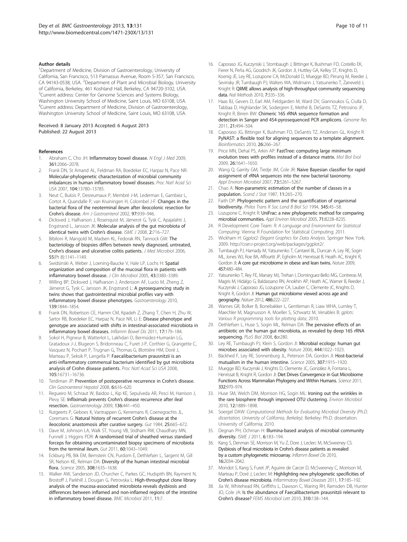#### <span id="page-9-0"></span>Author details

<sup>1</sup>Department of Medicine, Division of Gastroenterology, University of California, San Francisco, 513 Parnassus Avenue, Room S-357, San Francisco, CA 94143-0538, USA. <sup>2</sup>Department of Plant and Microbial Biology, University of California, Berkeley, 461 Koshland Hall, Berkeley, CA 94720-3102, USA. <sup>3</sup>Current address: Center for Genome Sciences and Systems Biology, Washington University School of Medicine, Saint Louis, MO 63108, USA. 4 Current address: Department of Medicine, Division of Gastroenterology, Washington University School of Medicine, Saint Louis, MO 63108, USA.

#### Received: 8 January 2013 Accepted: 6 August 2013 Published: 22 August 2013

#### References

- Abraham C, Cho JH: Inflammatory bowel disease. N Engl J Med 2009, 361:2066–2078.
- 2. Frank DN, St Amand AL, Feldman RA, Boedeker EC, Harpaz N, Pace NR: Molecular-phylogenetic characterization of microbial community imbalances in human inflammatory bowel diseases. Proc Natl Acad Sci USA 2007, 104:13780–13785.
- 3. Neut C, Bulois P, Desreumaux P, Membré J-M, Lederman E, Gambiez L, Cortot A, Quandalle P, van Kruiningen H, Colombel J-F: Changes in the bacterial flora of the neoterminal ileum after ileocolonic resection for Crohn's disease. Am J Gastroenterol 2002, 97:939–946.
- 4. Dicksved J, Halfvarson J, Rosenquist M, Järnerot G, Tysk C, Apajalahti J, Engstrand L, Jansson JK: Molecular analysis of the gut microbiota of identical twins with Crohn's disease. ISME J 2008, 2:716-727.
- 5. Bibiloni R, Mangold M, Madsen KL, Fedorak RN, Tannock GW: The bacteriology of biopsies differs between newly diagnosed, untreated, Crohn's disease and ulcerative colitis patients. J Med Microbiol 2006, 55(Pt 8):1141–1149.
- Swidsinski A, Weber J, Loening-Baucke V, Hale LP, Lochs H: Spatial organization and composition of the mucosal flora in patients with inflammatory bowel disease. J Clin Microbiol 2005, 43:3380-3389.
- 7. Willing BP, Dicksved J, Halfvarson J, Andersson AF, Lucio M, Zheng Z, Järnerot G, Tysk C, Jansson JK, Engstrand L: A pyrosequencing study in twins shows that gastrointestinal microbial profiles vary with inflammatory bowel disease phenotypes. Gastroenterology 2010, 139:1844–1854.
- 8. Frank DN, Robertson CE, Hamm CM, Kpadeh Z, Zhang T, Chen H, Zhu W, Sartor RB, Boedeker EC, Harpaz N, Pace NR, Li E: Disease phenotype and genotype are associated with shifts in intestinal‐associated microbiota in inflammatory bowel diseases. Inflamm Bowel Dis 2011, 17:179–184.
- Sokol H, Pigneur B, Watterlot L, Lakhdari O, Bermúdez-Humarán LG, Gratadoux J-J, Blugeon S, Bridonneau C, Furet J-P, Corthier G, Grangette C, Vasquez N, Pochart P, Trugnan G, Thomas G, Blottière HM, Doré J, Marteau P, Seksik P, Langella P: Faecalibacterium prausnitzii is an anti-inflammatory commensal bacterium identified by gut microbiota analysis of Crohn disease patients. Proc Natl Acad Sci USA 2008, 105:16731–16736.
- 10. Terdiman JP: Prevention of postoperative recurrence in Crohn's disease. Clin Gastroenterol Hepatol 2008, 6:616–620.
- 11. Regueiro M, Schraut W, Baidoo L, Kip KE, Sepulveda AR, Pesci M, Harrison J, Plevy SE: Infliximab prevents Crohn's disease recurrence after ileal resection. Gastroenterology 2009, 136:441–450.
- 12. Rutgeerts P, Geboes K, Vantrappen G, Kerremans R, Coenegrachts JL, Coremans G: Natural history of recurrent Crohn's disease at the ileocolonic anastomosis after curative surgery. Gut 1984, 25:665–672.
- 13. Dave M, Johnson LA, Walk ST, Young VB, Stidham RW, Chaudhary MN, Funnell J, Higgins PDR: A randomised trial of sheathed versus standard forceps for obtaining uncontaminated biopsy specimens of microbiota from the terminal ileum. Gut 2011, 60:1043–1049.
- 14. Eckburg PB, Bik EM, Bernstein CN, Purdom E, Dethlefsen L, Sargent M, Gill SR, Nelson KE, Relman DA: Diversity of the human intestinal microbial flora. Science 2005, 308:1635–1638.
- 15. Walker AW, Sanderson JD, Churcher C, Parkes GC, Hudspith BN, Rayment N, Brostoff J, Parkhill J, Dougan G, Petrovska L: High-throughput clone library analysis of the mucosa-associated microbiota reveals dysbiosis and differences between inflamed and non-inflamed regions of the intestine in inflammatory bowel disease. BMC Microbiol 2011, 11:7.
- 16. Caporaso JG, Kuczynski J, Stombaugh J, Bittinger K, Bushman FD, Costello EK, Fierer N, Peña AG, Goodrich JK, Gordon JI, Huttley GA, Kelley ST, Knights D, Koenig JE, Ley RE, Lozupone CA, McDonald D, Muegge BD, Pirrung M, Reeder J, Sevinsky JR, Turnbaugh PJ, Walters WA, Widmann J, Yatsunenko T, Zaneveld J, Knight R: QIIME allows analysis of high-throughput community sequencing data. Nat Methods 2010, 7:335–336.
- 17. Haas BJ, Gevers D, Earl AM, Feldgarden M, Ward DV, Giannoukos G, Ciulla D, Tabbaa D, Highlander SK, Sodergren E, Methé B, DeSantis TZ, Petrosino JF, Knight R, Birren BW: Chimeric 16S rRNA sequence formation and detection in Sanger and 454-pyrosequenced PCR amplicons. Genome Res 2011, 21:494–504.
- 18. Caporaso JG, Bittinger K, Bushman FD, DeSantis TZ, Andersen GL, Knight R: PyNAST: a flexible tool for aligning sequences to a template alignment. Bioinformatics 2010, 26:266–267.
- 19. Price MN, Dehal PS, Arkin AP: FastTree: computing large minimum evolution trees with profiles instead of a distance matrix. Mol Biol Evol 2009, 26:1641–1650.
- 20. Wang Q, Garrity GM, Tiedje JM, Cole JR: Naive Bayesian classifier for rapid assignment of rRNA sequences into the new bacterial taxonomy. Appl Environ Microbiol 2007, 73:5261-5267.
- 21. Chao A: Non-parametric estimation of the number of classes in a population. Scand J Stat 1987, 11:265–270.
- 22. Faith DP: Phylogenetic pattern and the quantification of organismal biodiversity. Philos Trans R Soc Lond B Biol Sci 1994, 345:45–58.
- 23. Lozupone C, Knight R: UniFrac: a new phylogenetic method for comparing microbial communities. Appl Environ Microbiol 2005, 71:8228–8235.
- 24. R Development Core Team: R: A Language and Environment for Statistical Computing. Vienna: R Foundation for Statistical Computing; 2011.
- 25. Wickham H: Ggplot2: Elegant Graphics for Data Analysis. Springer New York; 2009. http://cran.r-project.org/web/packages/ggplot2/.
- 26. Turnbaugh PJ, Hamady M, Yatsunenko T, Cantarel BL, Duncan A, Ley RE, Sogin ML, Jones WJ, Roe BA, Affourtit JP, Egholm M, Henrissat B, Heath AC, Knight R, Gordon JI: A core gut microbiome in obese and lean twins. Nature 2009, 457:480–484.
- 27. Yatsunenko T, Rey FE, Manary MJ, Trehan I, Dominguez-Bello MG, Contreras M, Magris M, Hidalgo G, Baldassano RN, Anokhin AP, Heath AC, Warner B, Reeder J, Kuczynski J, Caporaso JG, Lozupone CA, Lauber C, Clemente JC, Knights D, Knight R, Gordon JI: Human gut microbiome viewed across age and geography. Nature 2012, 486:222–227.
- 28. Warnes GR, Bolker B, Bonebakker L, Gentleman R, Liaw WHA, Lumley T, Maechler M, Magnusson A, Moeller S, Schwartz M, Venables B: gplots: Various R programming tools for plotting data; 2010.
- 29. Dethlefsen L, Huse S, Sogin ML, Relman DA: The pervasive effects of an antibiotic on the human gut microbiota, as revealed by deep 16S rRNA sequencing. PLoS Biol 2008, 6:e280.
- 30. Ley RE, Turnbaugh PJ, Klein S, Gordon JI: Microbial ecology: human gut microbes associated with obesity. Nature 2006, 444:1022–1023.
- 31. Bäckhed F, Ley RE, Sonnenburg JL, Peterson DA, Gordon JI: Host-bacterial mutualism in the human intestine. Science 2005, 307:1915–1920.
- 32. Muegge BD, Kuczynski J, Knights D, Clemente JC, González A, Fontana L, Henrissat B, Knight R, Gordon JI: Diet Drives Convergence in Gut Microbiome Functions Across Mammalian Phylogeny and Within Humans. Science 2011, 332:970–974.
- 33. Huse SM, Welch DM, Morrison HG, Sogin ML: Ironing out the wrinkles in the rare biosphere through improved OTU clustering. Environ Microbiol 2010, 12:1889–1898.
- Soergel DAW: Computational Methods for Evaluating Microbial Diversity (Ph.D. dissertation, University of California, Berkeley). Berkeley: Ph.D. dissertation. University of California; 2010.
- 35. Degnan PH, Ochman H: Illumina-based analysis of microbial community diversity. ISME J 2011, 6:183-194.
- 36. Kang S, Denman SE, Morrison M, Yu Z, Dore J, Leclerc M, McSweeney CS: Dysbiosis of fecal microbiota in Crohn's disease patients as revealed by a custom phylogenetic microarray. Inflamm Bowel Dis 2010, 16:2034–2042.
- 37. Mondot S, Kang S, Furet JP, Aguirre de Carcer D, McSweeney C, Morrison M, Marteau P, Doré J, Leclerc M: Highlighting new phylogenetic specificities of Crohn's disease microbiota. Inflammatory Bowel Diseases 2011, 17:185–192.
- 38. Jia W, Whitehead RN, Griffiths L, Dawson C, Waring RH, Ramsden DB, Hunter JO, Cole JA: Is the abundance of Faecalibacterium prausnitzii relevant to Crohn's disease? FEMS Microbiol Lett 2010, 310:138–144.